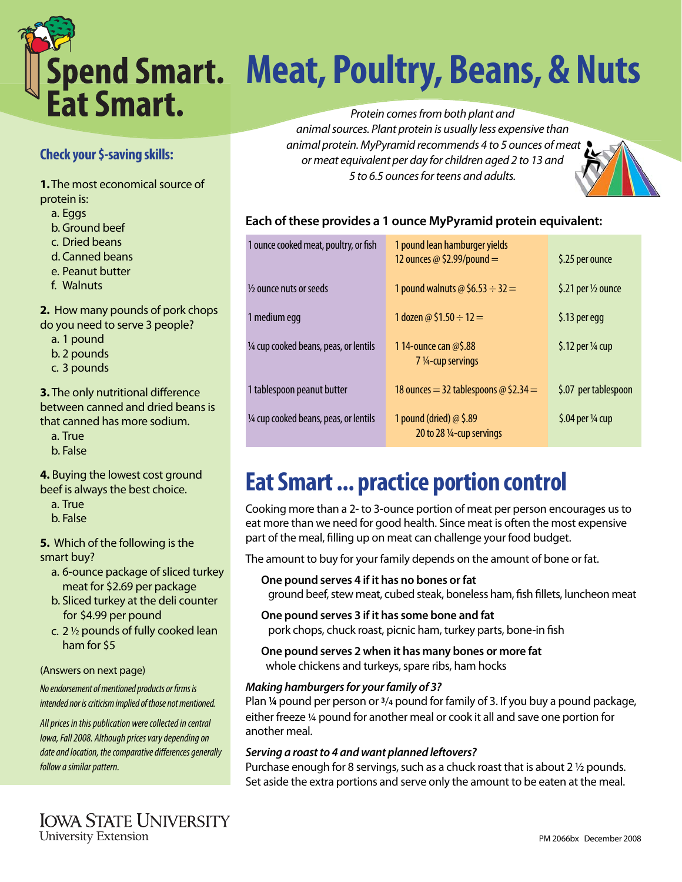

# **Meat, Poultry, Beans, & Nuts**

Protein comes from both plant and animal sources. Plant protein is usually less expensive than animal protein. MyPyramid recommends 4 to 5 ounces of meat or meat equivalent per day for children aged 2 to 13 and 5 to 6.5 ounces for teens and adults.

### **Each of these provides a 1 ounce MyPyramid protein equivalent:**

| 1 ounce cooked meat, poultry, or fish  | 1 pound lean hamburger yields<br>12 ounces $\omega$ \$2.99/pound =     | \$.25 per ounce               |
|----------------------------------------|------------------------------------------------------------------------|-------------------------------|
| 1/ <sub>2</sub> ounce nuts or seeds    | 1 pound walnuts @ \$6.53 $\div$ 32 =                                   | \$.21 per $\frac{1}{2}$ ounce |
| 1 medium egg                           | 1 dozen @ \$1.50 $\div$ 12 =                                           | \$.13 per egg                 |
| 1/4 cup cooked beans, peas, or lentils | 114-ounce can @\$.88<br>$7\frac{1}{4}$ -cup servings                   | \$.12 per 1/4 cup             |
| 1 tablespoon peanut butter             | 18 ounces = 32 tablespoons $\omega$ \$2.34 =                           | \$.07 per tablespoon          |
| 1/4 cup cooked beans, peas, or lentils | 1 pound (dried) $\omega$ \$.89<br>20 to 28 $\frac{1}{4}$ -cup servings | \$.04 per $\frac{1}{4}$ cup   |

# **Eat Smart ... practice portion control**

Cooking more than a 2- to 3-ounce portion of meat per person encourages us to eat more than we need for good health. Since meat is often the most expensive part of the meal, filling up on meat can challenge your food budget.

The amount to buy for your family depends on the amount of bone or fat.

**One pound serves 4 if it has no bones or fat**

ground beef, stew meat, cubed steak, boneless ham, fish fillets, luncheon meat

- **One pound serves 3 if it has some bone and fat**  pork chops, chuck roast, picnic ham, turkey parts, bone-in fish
- **One pound serves 2 when it has many bones or more fat** whole chickens and turkeys, spare ribs, ham hocks

### *Making hamburgers for your family of 3?*

Plan **¼** pound per person or **3**/**4** pound for family of 3. If you buy a pound package, either freeze ¼ pound for another meal or cook it all and save one portion for another meal.

#### *Serving a roast to 4 and want planned leftovers?*

Purchase enough for 8 servings, such as a chuck roast that is about 2 ½ pounds. Set aside the extra portions and serve only the amount to be eaten at the meal.

# **Check your \$-saving skills:**

**1.** The most economical source of protein is:

- a. Eggs
- b. Ground beef
- c. Dried beans
- d. Canned beans
- e. Peanut butter
- f. Walnuts

# **2.** How many pounds of pork chops

do you need to serve 3 people?

a. 1 pound

b. 2 pounds

c. 3 pounds

### **3.** The only nutritional difference between canned and dried beans is that canned has more sodium.

a. True

b. False

#### **4.** Buying the lowest cost ground beef is always the best choice.

a. True

b. False

### **5.** Which of the following is the smart buy?

- a. 6-ounce package of sliced turkey meat for \$2.69 per package
- b. Sliced turkey at the deli counter for \$4.99 per pound
- c. 2 ½ pounds of fully cooked lean ham for \$5

### (Answers on next page)

No endorsement of mentioned products or firms is intended nor is criticism implied of those not mentioned.

All prices in this publication were collected in central Iowa, Fall 2008. Although prices vary depending on date and location, the comparative differences generally follow a similar pattern.